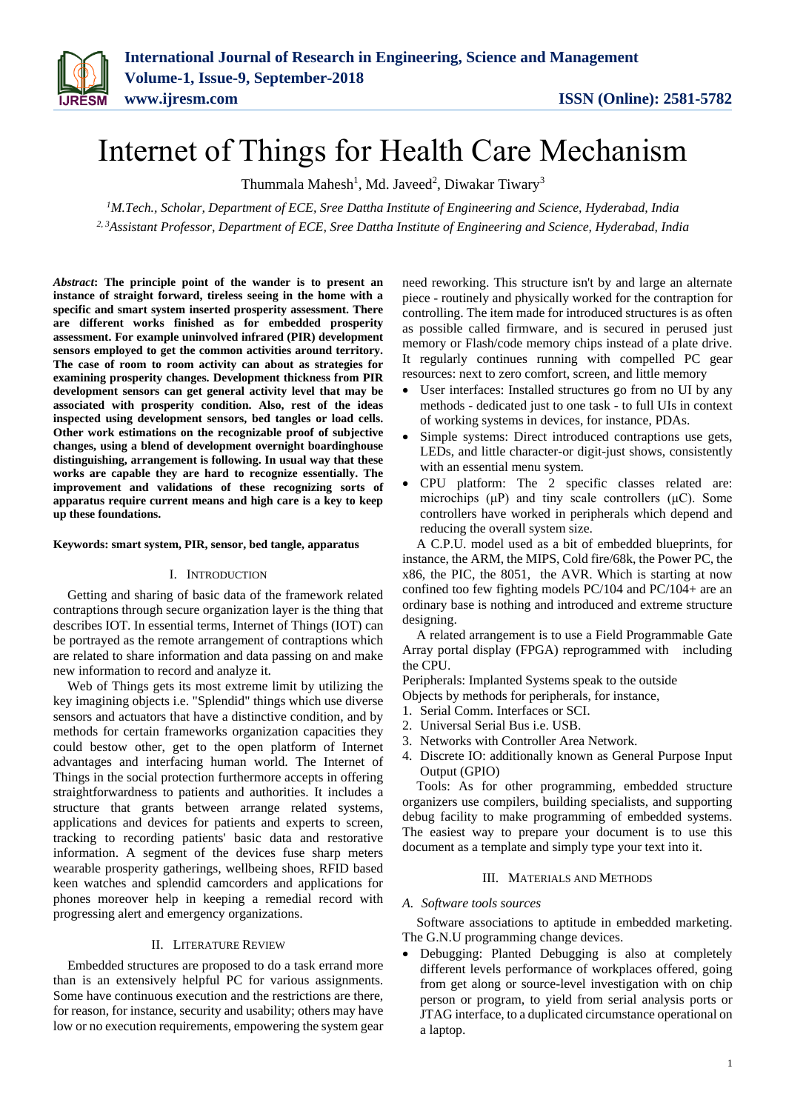# Internet of Things for Health Care Mechanism

Thummala Mahesh<sup>1</sup>, Md. Javeed<sup>2</sup>, Diwakar Tiwary<sup>3</sup>

*<sup>1</sup>M.Tech., Scholar, Department of ECE, Sree Dattha Institute of Engineering and Science, Hyderabad, India 2, 3Assistant Professor, Department of ECE, Sree Dattha Institute of Engineering and Science, Hyderabad, India*

*Abstract***: The principle point of the wander is to present an instance of straight forward, tireless seeing in the home with a specific and smart system inserted prosperity assessment. There are different works finished as for embedded prosperity assessment. For example uninvolved infrared (PIR) development sensors employed to get the common activities around territory. The case of room to room activity can about as strategies for examining prosperity changes. Development thickness from PIR development sensors can get general activity level that may be associated with prosperity condition. Also, rest of the ideas inspected using development sensors, bed tangles or load cells. Other work estimations on the recognizable proof of subjective changes, using a blend of development overnight boardinghouse distinguishing, arrangement is following. In usual way that these works are capable they are hard to recognize essentially. The improvement and validations of these recognizing sorts of apparatus require current means and high care is a key to keep up these foundations.**

#### **Keywords: smart system, PIR, sensor, bed tangle, apparatus**

#### I. INTRODUCTION

Getting and sharing of basic data of the framework related contraptions through secure organization layer is the thing that describes IOT. In essential terms, Internet of Things (IOT) can be portrayed as the remote arrangement of contraptions which are related to share information and data passing on and make new information to record and analyze it.

Web of Things gets its most extreme limit by utilizing the key imagining objects i.e. "Splendid" things which use diverse sensors and actuators that have a distinctive condition, and by methods for certain frameworks organization capacities they could bestow other, get to the open platform of Internet advantages and interfacing human world. The Internet of Things in the social protection furthermore accepts in offering straightforwardness to patients and authorities. It includes a structure that grants between arrange related systems, applications and devices for patients and experts to screen, tracking to recording patients' basic data and restorative information. A segment of the devices fuse sharp meters wearable prosperity gatherings, wellbeing shoes, RFID based keen watches and splendid camcorders and applications for phones moreover help in keeping a remedial record with progressing alert and emergency organizations.

# II. LITERATURE REVIEW

Embedded structures are proposed to do a task errand more than is an extensively helpful PC for various assignments. Some have continuous execution and the restrictions are there, for reason, for instance, security and usability; others may have low or no execution requirements, empowering the system gear need reworking. This structure isn't by and large an alternate piece - routinely and physically worked for the contraption for controlling. The item made for introduced structures is as often as possible called firmware, and is secured in perused just memory or Flash/code memory chips instead of a plate drive. It regularly continues running with compelled PC gear resources: next to zero comfort, screen, and little memory

- User interfaces: Installed structures go from no UI by any methods - dedicated just to one task - to full UIs in context of working systems in devices, for instance, PDAs.
- Simple systems: Direct introduced contraptions use gets, LEDs, and little character-or digit-just shows, consistently with an essential menu system.
- CPU platform: The 2 specific classes related are: microchips  $(\mu P)$  and tiny scale controllers  $(\mu C)$ . Some controllers have worked in peripherals which depend and reducing the overall system size.

A C.P.U. model used as a bit of embedded blueprints, for instance, the ARM, the MIPS, Cold fire/68k, the Power PC, the x86, the PIC, the 8051, the AVR. Which is starting at now confined too few fighting models PC/104 and PC/104+ are an ordinary base is nothing and introduced and extreme structure designing.

A related arrangement is to use a Field Programmable Gate Array portal display (FPGA) reprogrammed with including the CPU.

Peripherals: Implanted Systems speak to the outside

- Objects by methods for peripherals, for instance,
- 1. Serial Comm. Interfaces or SCI.
- 2. Universal Serial Bus i.e. USB.
- 3. Networks with Controller Area Network.
- 4. Discrete IO: additionally known as General Purpose Input Output (GPIO)

Tools: As for other programming, embedded structure organizers use compilers, building specialists, and supporting debug facility to make programming of embedded systems. The easiest way to prepare your document is to use this document as a template and simply type your text into it.

# III. MATERIALS AND METHODS

#### *A. Software tools sources*

Software associations to aptitude in embedded marketing. The G.N.U programming change devices.

 Debugging: Planted Debugging is also at completely different levels performance of workplaces offered, going from get along or source-level investigation with on chip person or program, to yield from serial analysis ports or JTAG interface, to a duplicated circumstance operational on a laptop.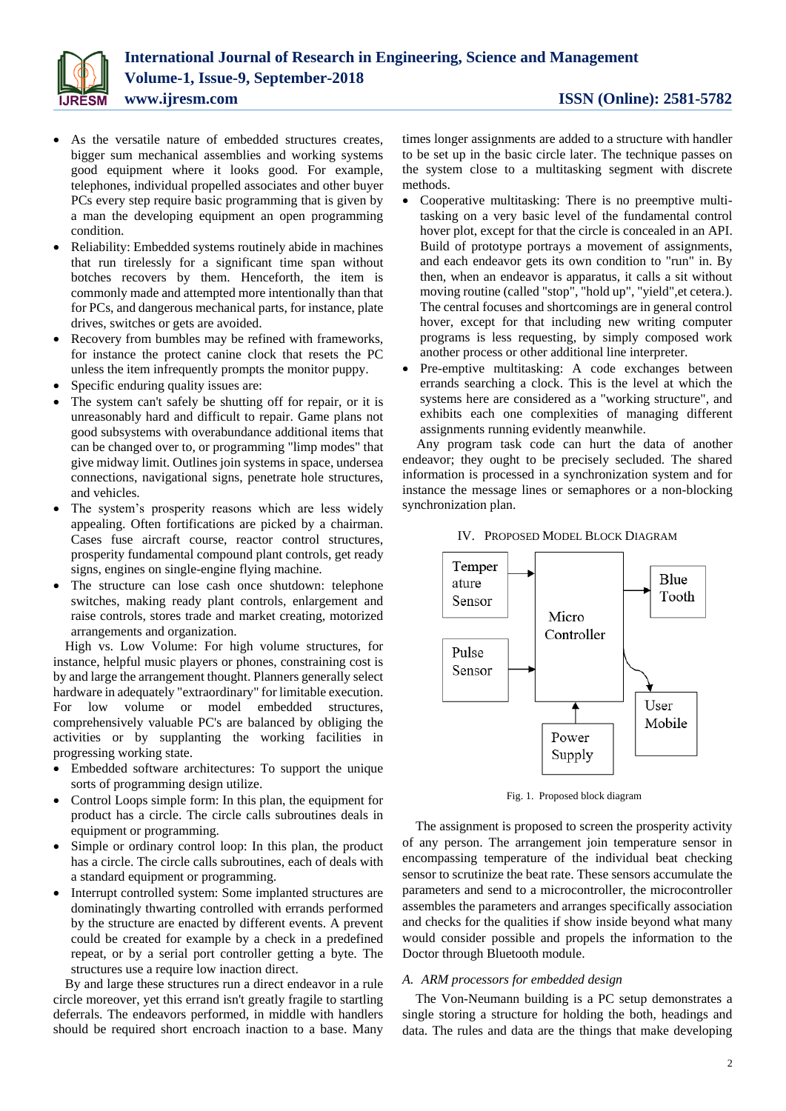

- As the versatile nature of embedded structures creates, bigger sum mechanical assemblies and working systems good equipment where it looks good. For example, telephones, individual propelled associates and other buyer PCs every step require basic programming that is given by a man the developing equipment an open programming condition.
- Reliability: Embedded systems routinely abide in machines that run tirelessly for a significant time span without botches recovers by them. Henceforth, the item is commonly made and attempted more intentionally than that for PCs, and dangerous mechanical parts, for instance, plate drives, switches or gets are avoided.
- Recovery from bumbles may be refined with frameworks, for instance the protect canine clock that resets the PC unless the item infrequently prompts the monitor puppy.
- Specific enduring quality issues are:
- The system can't safely be shutting off for repair, or it is unreasonably hard and difficult to repair. Game plans not good subsystems with overabundance additional items that can be changed over to, or programming "limp modes" that give midway limit. Outlines join systems in space, undersea connections, navigational signs, penetrate hole structures, and vehicles.
- The system's prosperity reasons which are less widely appealing. Often fortifications are picked by a chairman. Cases fuse aircraft course, reactor control structures, prosperity fundamental compound plant controls, get ready signs, engines on single-engine flying machine.
- The structure can lose cash once shutdown: telephone switches, making ready plant controls, enlargement and raise controls, stores trade and market creating, motorized arrangements and organization.

High vs. Low Volume: For high volume structures, for instance, helpful music players or phones, constraining cost is by and large the arrangement thought. Planners generally select hardware in adequately "extraordinary" for limitable execution. For low volume or model embedded structures, comprehensively valuable PC's are balanced by obliging the activities or by supplanting the working facilities in progressing working state.

- Embedded software architectures: To support the unique sorts of programming design utilize.
- Control Loops simple form: In this plan, the equipment for product has a circle. The circle calls subroutines deals in equipment or programming.
- Simple or ordinary control loop: In this plan, the product has a circle. The circle calls subroutines, each of deals with a standard equipment or programming.
- Interrupt controlled system: Some implanted structures are dominatingly thwarting controlled with errands performed by the structure are enacted by different events. A prevent could be created for example by a check in a predefined repeat, or by a serial port controller getting a byte. The structures use a require low inaction direct.

By and large these structures run a direct endeavor in a rule circle moreover, yet this errand isn't greatly fragile to startling deferrals. The endeavors performed, in middle with handlers should be required short encroach inaction to a base. Many times longer assignments are added to a structure with handler to be set up in the basic circle later. The technique passes on the system close to a multitasking segment with discrete methods.

- Cooperative multitasking: There is no preemptive multitasking on a very basic level of the fundamental control hover plot, except for that the circle is concealed in an API. Build of prototype portrays a movement of assignments, and each endeavor gets its own condition to "run" in. By then, when an endeavor is apparatus, it calls a sit without moving routine (called "stop", "hold up", "yield",et cetera.). The central focuses and shortcomings are in general control hover, except for that including new writing computer programs is less requesting, by simply composed work another process or other additional line interpreter.
- Pre-emptive multitasking: A code exchanges between errands searching a clock. This is the level at which the systems here are considered as a "working structure", and exhibits each one complexities of managing different assignments running evidently meanwhile.

Any program task code can hurt the data of another endeavor; they ought to be precisely secluded. The shared information is processed in a synchronization system and for instance the message lines or semaphores or a non-blocking synchronization plan.



IV. PROPOSED MODEL BLOCK DIAGRAM

Fig. 1. Proposed block diagram

The assignment is proposed to screen the prosperity activity of any person. The arrangement join temperature sensor in encompassing temperature of the individual beat checking sensor to scrutinize the beat rate. These sensors accumulate the parameters and send to a microcontroller, the microcontroller assembles the parameters and arranges specifically association and checks for the qualities if show inside beyond what many would consider possible and propels the information to the Doctor through Bluetooth module.

# *A. ARM processors for embedded design*

The Von-Neumann building is a PC setup demonstrates a single storing a structure for holding the both, headings and data. The rules and data are the things that make developing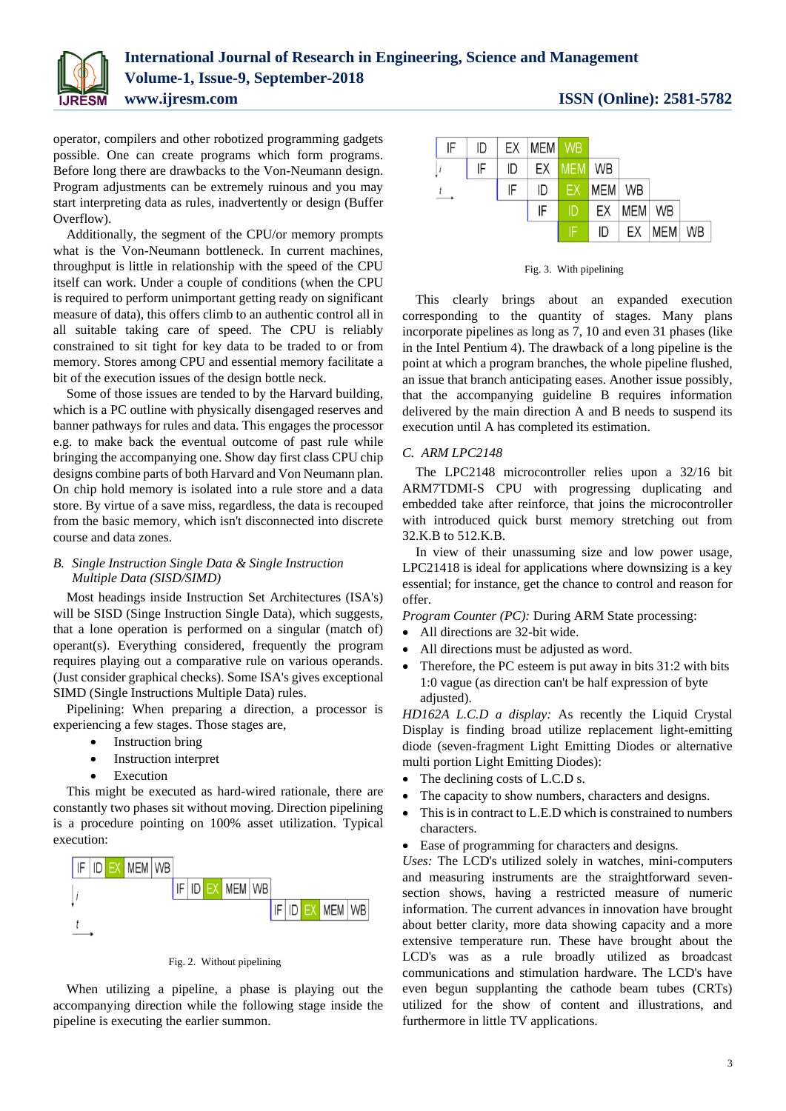

operator, compilers and other robotized programming gadgets possible. One can create programs which form programs. Before long there are drawbacks to the Von-Neumann design. Program adjustments can be extremely ruinous and you may start interpreting data as rules, inadvertently or design (Buffer Overflow).

Additionally, the segment of the CPU/or memory prompts what is the Von-Neumann bottleneck. In current machines, throughput is little in relationship with the speed of the CPU itself can work. Under a couple of conditions (when the CPU is required to perform unimportant getting ready on significant measure of data), this offers climb to an authentic control all in all suitable taking care of speed. The CPU is reliably constrained to sit tight for key data to be traded to or from memory. Stores among CPU and essential memory facilitate a bit of the execution issues of the design bottle neck.

Some of those issues are tended to by the Harvard building, which is a PC outline with physically disengaged reserves and banner pathways for rules and data. This engages the processor e.g. to make back the eventual outcome of past rule while bringing the accompanying one. Show day first class CPU chip designs combine parts of both Harvard and Von Neumann plan. On chip hold memory is isolated into a rule store and a data store. By virtue of a save miss, regardless, the data is recouped from the basic memory, which isn't disconnected into discrete course and data zones.

# *B. Single Instruction Single Data & Single Instruction Multiple Data (SISD/SIMD)*

Most headings inside Instruction Set Architectures (ISA's) will be SISD (Singe Instruction Single Data), which suggests, that a lone operation is performed on a singular (match of) operant(s). Everything considered, frequently the program requires playing out a comparative rule on various operands. (Just consider graphical checks). Some ISA's gives exceptional SIMD (Single Instructions Multiple Data) rules.

Pipelining: When preparing a direction, a processor is experiencing a few stages. Those stages are,

- Instruction bring
- Instruction interpret
- Execution

This might be executed as hard-wired rationale, there are constantly two phases sit without moving. Direction pipelining is a procedure pointing on 100% asset utilization. Typical execution:



Fig. 2. Without pipelining

When utilizing a pipeline, a phase is playing out the accompanying direction while the following stage inside the pipeline is executing the earlier summon.

| IF            |    |    | ID EX MEM WB       |  |                   |                 |    |
|---------------|----|----|--------------------|--|-------------------|-----------------|----|
|               | IF |    | ID   EX   MEM   WB |  |                   |                 |    |
| $\frac{t}{ }$ |    | IF | ID EX MEM WB       |  |                   |                 |    |
|               |    |    | IF                 |  | <b>DEX MEM WB</b> |                 |    |
|               |    |    |                    |  |                   | $ID$ $EX$ $MEM$ | WB |

Fig. 3. With pipelining

This clearly brings about an expanded execution corresponding to the quantity of stages. Many plans incorporate pipelines as long as 7, 10 and even 31 phases (like in the Intel Pentium 4). The drawback of a long pipeline is the point at which a program branches, the whole pipeline flushed, an issue that branch anticipating eases. Another issue possibly, that the accompanying guideline B requires information delivered by the main direction A and B needs to suspend its execution until A has completed its estimation.

# *C. ARM LPC2148*

The LPC2148 microcontroller relies upon a 32/16 bit ARM7TDMI-S CPU with progressing duplicating and embedded take after reinforce, that joins the microcontroller with introduced quick burst memory stretching out from 32.K.B to 512.K.B.

In view of their unassuming size and low power usage, LPC21418 is ideal for applications where downsizing is a key essential; for instance, get the chance to control and reason for offer.

*Program Counter (PC):* During ARM State processing:

- All directions are 32-bit wide.
- All directions must be adjusted as word.
- Therefore, the PC esteem is put away in bits 31:2 with bits 1:0 vague (as direction can't be half expression of byte adjusted).

*HD162A L.C.D a display:* As recently the Liquid Crystal Display is finding broad utilize replacement light-emitting diode (seven-fragment Light Emitting Diodes or alternative multi portion Light Emitting Diodes):

- The declining costs of L.C.D s.
- The capacity to show numbers, characters and designs.
- This is in contract to L.E.D which is constrained to numbers characters.
- Ease of programming for characters and designs.

*Uses:* The LCD's utilized solely in watches, mini-computers and measuring instruments are the straightforward sevensection shows, having a restricted measure of numeric information. The current advances in innovation have brought about better clarity, more data showing capacity and a more extensive temperature run. These have brought about the LCD's was as a rule broadly utilized as broadcast communications and stimulation hardware. The LCD's have even begun supplanting the cathode beam tubes (CRTs) utilized for the show of content and illustrations, and furthermore in little TV applications.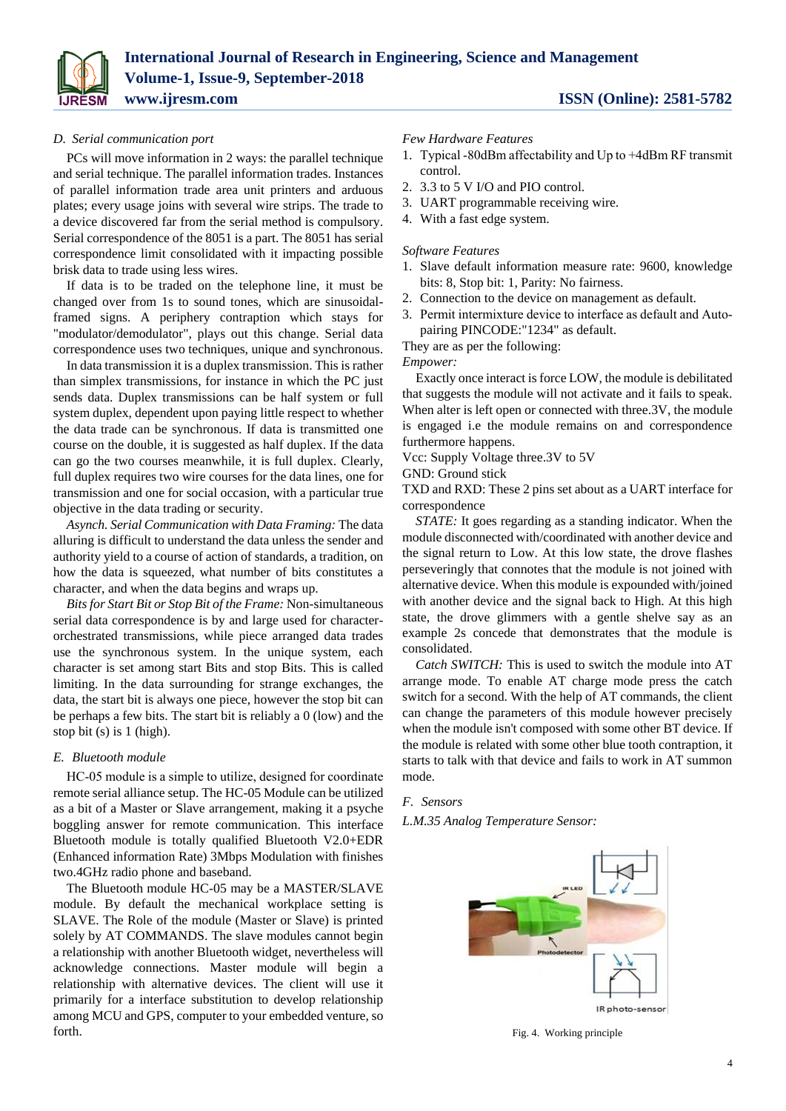

# *D. Serial communication port*

PCs will move information in 2 ways: the parallel technique and serial technique. The parallel information trades. Instances of parallel information trade area unit printers and arduous plates; every usage joins with several wire strips. The trade to a device discovered far from the serial method is compulsory. Serial correspondence of the 8051 is a part. The 8051 has serial correspondence limit consolidated with it impacting possible brisk data to trade using less wires.

If data is to be traded on the telephone line, it must be changed over from 1s to sound tones, which are sinusoidalframed signs. A periphery contraption which stays for "modulator/demodulator", plays out this change. Serial data correspondence uses two techniques, unique and synchronous.

In data transmission it is a duplex transmission. This is rather than simplex transmissions, for instance in which the PC just sends data. Duplex transmissions can be half system or full system duplex, dependent upon paying little respect to whether the data trade can be synchronous. If data is transmitted one course on the double, it is suggested as half duplex. If the data can go the two courses meanwhile, it is full duplex. Clearly, full duplex requires two wire courses for the data lines, one for transmission and one for social occasion, with a particular true objective in the data trading or security.

*Asynch. Serial Communication with Data Framing:* The data alluring is difficult to understand the data unless the sender and authority yield to a course of action of standards, a tradition, on how the data is squeezed, what number of bits constitutes a character, and when the data begins and wraps up.

*Bits for Start Bit or Stop Bit of the Frame:* Non-simultaneous serial data correspondence is by and large used for characterorchestrated transmissions, while piece arranged data trades use the synchronous system. In the unique system, each character is set among start Bits and stop Bits. This is called limiting. In the data surrounding for strange exchanges, the data, the start bit is always one piece, however the stop bit can be perhaps a few bits. The start bit is reliably a 0 (low) and the stop bit (s) is 1 (high).

### *E. Bluetooth module*

HC‐05 module is a simple to utilize, designed for coordinate remote serial alliance setup. The HC-05 Module can be utilized as a bit of a Master or Slave arrangement, making it a psyche boggling answer for remote communication. This interface Bluetooth module is totally qualified Bluetooth V2.0+EDR (Enhanced information Rate) 3Mbps Modulation with finishes two.4GHz radio phone and baseband.

The Bluetooth module HC-05 may be a MASTER/SLAVE module. By default the mechanical workplace setting is SLAVE. The Role of the module (Master or Slave) is printed solely by AT COMMANDS. The slave modules cannot begin a relationship with another Bluetooth widget, nevertheless will acknowledge connections. Master module will begin a relationship with alternative devices. The client will use it primarily for a interface substitution to develop relationship among MCU and GPS, computer to your embedded venture, so forth.

- *Few Hardware Features*
- 1. Typical ‐80dBm affectability and Up to +4dBm RF transmit control.
- 2. 3.3 to 5 V I/O and PIO control.
- 3. UART programmable receiving wire.
- 4. With a fast edge system.

#### *Software Features*

- 1. Slave default information measure rate: 9600, knowledge bits: 8, Stop bit: 1, Parity: No fairness.
- 2. Connection to the device on management as default.
- 3. Permit intermixture device to interface as default and Autopairing PINCODE:"1234" as default.

They are as per the following:

#### *Empower:*

Exactly once interact is force LOW, the module is debilitated that suggests the module will not activate and it fails to speak. When alter is left open or connected with three.3V, the module is engaged i.e the module remains on and correspondence furthermore happens.

Vcc: Supply Voltage three.3V to 5V

GND: Ground stick

TXD and RXD: These 2 pins set about as a UART interface for correspondence

*STATE:* It goes regarding as a standing indicator. When the module disconnected with/coordinated with another device and the signal return to Low. At this low state, the drove flashes perseveringly that connotes that the module is not joined with alternative device. When this module is expounded with/joined with another device and the signal back to High. At this high state, the drove glimmers with a gentle shelve say as an example 2s concede that demonstrates that the module is consolidated.

*Catch SWITCH:* This is used to switch the module into AT arrange mode. To enable AT charge mode press the catch switch for a second. With the help of AT commands, the client can change the parameters of this module however precisely when the module isn't composed with some other BT device. If the module is related with some other blue tooth contraption, it starts to talk with that device and fails to work in AT summon mode.

#### *F. Sensors*

*L.M.35 Analog Temperature Sensor:*



Fig. 4. Working principle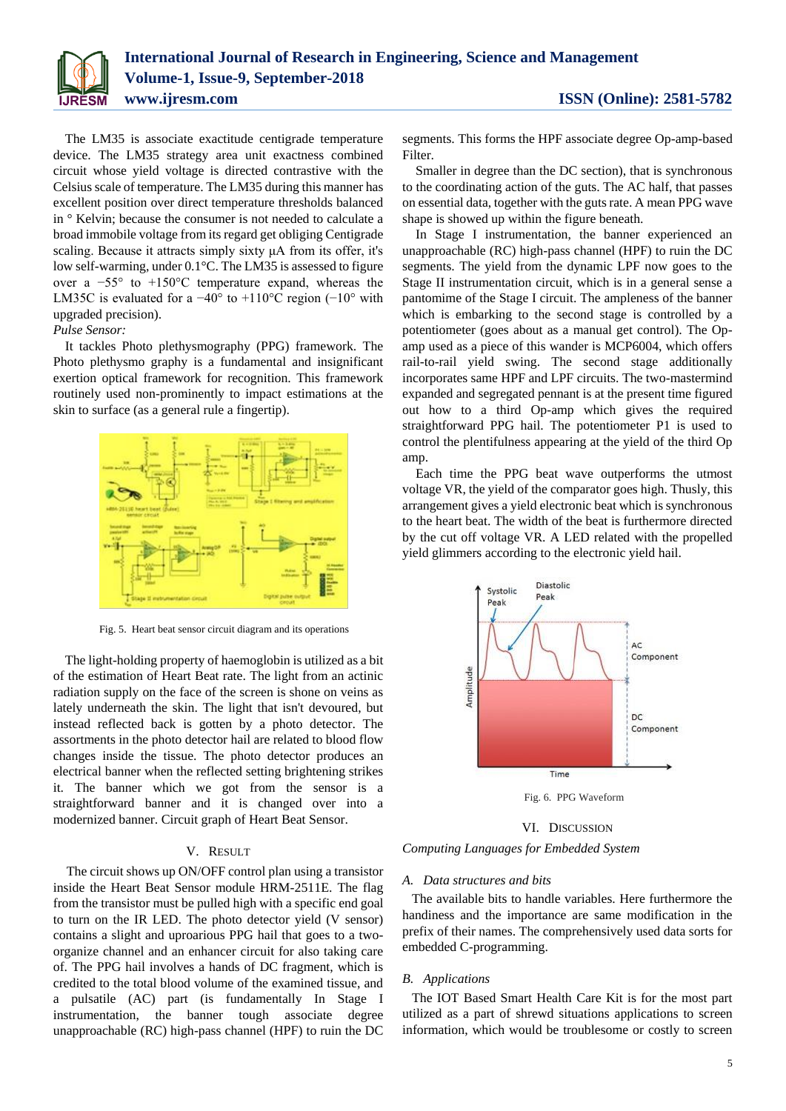

The LM35 is associate exactitude centigrade temperature device. The LM35 strategy area unit exactness combined circuit whose yield voltage is directed contrastive with the Celsius scale of temperature. The LM35 during this manner has excellent position over direct temperature thresholds balanced in ° Kelvin; because the consumer is not needed to calculate a broad immobile voltage from its regard get obliging Centigrade scaling. Because it attracts simply sixty μA from its offer, it's low self-warming, under 0.1°C. The LM35 is assessed to figure over a −55° to +150°C temperature expand, whereas the LM35C is evaluated for a −40° to +110°C region (−10° with upgraded precision).

### *Pulse Sensor:*

It tackles Photo plethysmography (PPG) framework. The Photo plethysmo graphy is a fundamental and insignificant exertion optical framework for recognition. This framework routinely used non-prominently to impact estimations at the skin to surface (as a general rule a fingertip).



Fig. 5. Heart beat sensor circuit diagram and its operations

The light-holding property of haemoglobin is utilized as a bit of the estimation of Heart Beat rate. The light from an actinic radiation supply on the face of the screen is shone on veins as lately underneath the skin. The light that isn't devoured, but instead reflected back is gotten by a photo detector. The assortments in the photo detector hail are related to blood flow changes inside the tissue. The photo detector produces an electrical banner when the reflected setting brightening strikes it. The banner which we got from the sensor is a straightforward banner and it is changed over into a modernized banner. Circuit graph of Heart Beat Sensor.

## V. RESULT

The circuit shows up ON/OFF control plan using a transistor inside the Heart Beat Sensor module HRM-2511E. The flag from the transistor must be pulled high with a specific end goal to turn on the IR LED. The photo detector yield (V sensor) contains a slight and uproarious PPG hail that goes to a twoorganize channel and an enhancer circuit for also taking care of. The PPG hail involves a hands of DC fragment, which is credited to the total blood volume of the examined tissue, and a pulsatile (AC) part (is fundamentally In Stage I instrumentation, the banner tough associate degree unapproachable (RC) high-pass channel (HPF) to ruin the DC

segments. This forms the HPF associate degree Op-amp-based Filter.

Smaller in degree than the DC section), that is synchronous to the coordinating action of the guts. The AC half, that passes on essential data, together with the guts rate. A mean PPG wave shape is showed up within the figure beneath.

In Stage I instrumentation, the banner experienced an unapproachable (RC) high-pass channel (HPF) to ruin the DC segments. The yield from the dynamic LPF now goes to the Stage II instrumentation circuit, which is in a general sense a pantomime of the Stage I circuit. The ampleness of the banner which is embarking to the second stage is controlled by a potentiometer (goes about as a manual get control). The Opamp used as a piece of this wander is MCP6004, which offers rail-to-rail yield swing. The second stage additionally incorporates same HPF and LPF circuits. The two-mastermind expanded and segregated pennant is at the present time figured out how to a third Op-amp which gives the required straightforward PPG hail. The potentiometer P1 is used to control the plentifulness appearing at the yield of the third Op amp.

Each time the PPG beat wave outperforms the utmost voltage VR, the yield of the comparator goes high. Thusly, this arrangement gives a yield electronic beat which is synchronous to the heart beat. The width of the beat is furthermore directed by the cut off voltage VR. A LED related with the propelled yield glimmers according to the electronic yield hail.



Fig. 6. PPG Waveform

VI. DISCUSSION

*Computing Languages for Embedded System*

#### *A. Data structures and bits*

The available bits to handle variables. Here furthermore the handiness and the importance are same modification in the prefix of their names. The comprehensively used data sorts for embedded C-programming.

#### *B. Applications*

The IOT Based Smart Health Care Kit is for the most part utilized as a part of shrewd situations applications to screen information, which would be troublesome or costly to screen